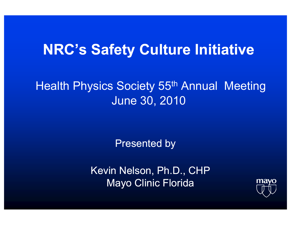## **NRC's Safety Culture Initiative**

### **Health Physics Society 55th Annual Meeting June 30, 2010**

**Presented by** 

Kevin Nelson, Ph.D., CHP **Mayo Clinic Florida** 

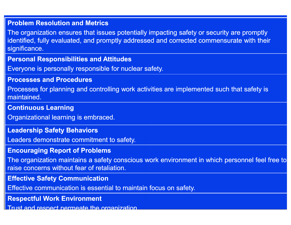#### **Problem Resolution and Metrics**

The organization ensures that issues potentially impacting safety or security are promptly identified, fully evaluated, and promptly addressed and corrected commensurate with their significance.

#### **Personal Responsibilities and Attitudes**

Everyone is personally responsible for nuclear s safety.

#### **Processes and Procedures**

Processes for planning and controlling work activities are implemented such that safety is maintained.

#### **Continuous Learning**

Organizational learning is embraced.

#### **Leadership Safety Behaviors**

Leaders demonstrate commitment to safety.

#### **Encouraging Report of Problems**

The organization maintains a safety conscious work environment in which personnel feel free to raise concerns without fear of retaliation.

#### **Effective Safety Communication**

Effective communication is essential to maintain focus on safety.

**Respectful Work Environment**

Trust and respect permeate the organization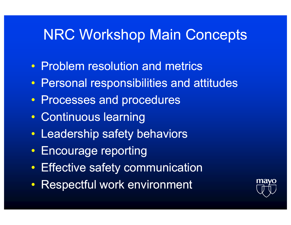### **NRC Workshop Main Concepts**

- Problem resolution and metrics
- Personal responsibilities and attitudes
- Processes and procedures
- Continuous learning
- Leadership safety behaviors
- Encourage reporting
- Effective safety communication
- Respectful work environment

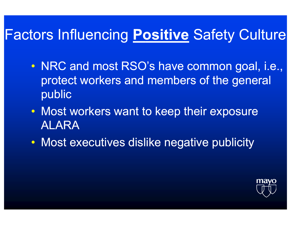# Factors Influencing **P o ositive** Safety Culture

- NRC and most RSO's have common goal, i.e., protect workers and members of the general public
- Most workers want to keep their exposure ALARA
- Most executives dislike negative publicity

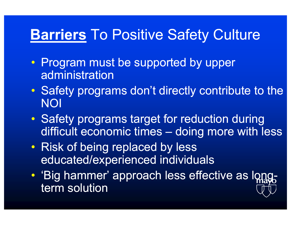## **Barriers** To Positive Safety Culture

- Program must be supported by upper administration
- $\bullet$ • Safety programs don't directly contribute to the NOI
- $\bullet$ • Safety programs target for reduction during difficult economic times – doing more with less
- $\mathbf C$ • Risk of being replaced by less educated/experience ed individuals
- $\bullet$ • 'Big hammer' approach less effective as longterm solution